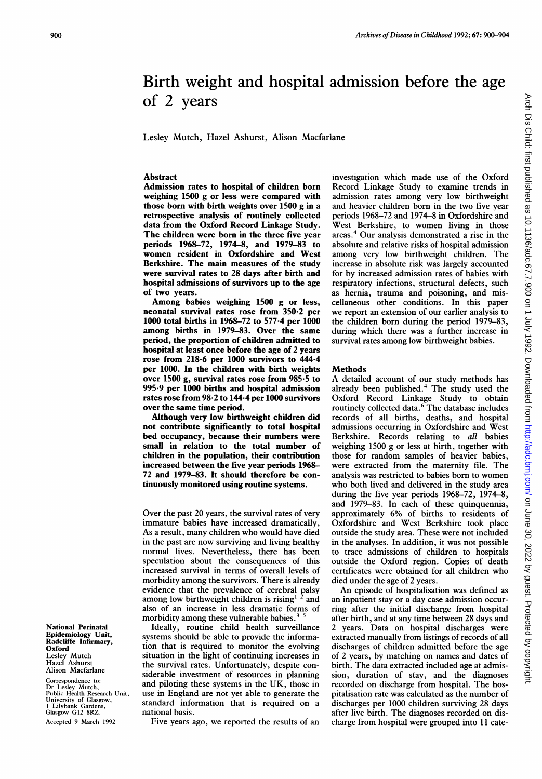# Birth weight and hospital admission before the age of 2 years

Lesley Mutch, Hazel Ashurst, Alison Macfarlane

## Abstract

Admission rates to hospital of children born weighing 1500 g or less were compared with those born with birth weights over 1500 g in a retrospective analysis of routinely collected data from the Oxford Record Linkage Study. The children were born in the three five year periods 1968-72, 1974-8, and 1979-83 to women resident in Oxfordshire and West Berkshire. The main measures of the study were survival rates to 28 days after birth and hospital admissions of survivors up to the age of two years.

Among babies weighing 1500 g or less, neonatal survival rates rose from 350 2 per 1000 total births in 1968-72 to 577-4 per 1000 among births in 1979-83. Over the same period, the proportion of children admitted to hospital at least once before the age of 2 years rose from 218-6 per 1000 survivors to 444-4 per 1000. In the children with birth weights over 1500 g, survival rates rose from 985-5 to 995-9 per 1000 births and hospital admission rates rose from 98-2 to 144-4 per 1000 survivors over the same time period.

Although very low birthweight children did not contribute significantly to total hospital bed occupancy, because their numbers were small in relation to the total number of children in the population, their contribution increased between the five year periods 1968- 72 and 1979-83. It should therefore be continuously monitored using routine systems.

Over the past 20 years, the survival rates of very immature babies have increased dramatically, As <sup>a</sup> result, many children who would have died in the past are now surviving and living healthy normal lives. Nevertheless, there has been speculation about the consequences of this increased survival in terms of overall levels of morbidity among the survivors. There is already evidence that the prevalence of cerebral palsy among low birthweight children is rising<sup>1</sup>  $2$  and also of an increase in less dramatic forms of morbidity among these vulnerable babies.<sup>5</sup>

Ideally, routine child health surveillance systems should be able to provide the information that is required to monitor the evolving situation in the light of continuing increases in the survival rates. Unfortunately, despite considerable investment of resources in planning and piloting these systems in the UK, those in use in England are not yet able to generate the standard information that is required on a national basis.

Five years ago, we reported the results of an

investigation which made use of the Oxford Record Linkage Study to examine trends in admission rates among very low birthweight and heavier children born in the two five year periods 1968-72 and 1974-8 in Oxfordshire and West Berkshire, to women living in those areas.' Our analysis demonstrated <sup>a</sup> rise in the absolute and relative risks of hospital admission among very low birthweight children. The increase in absolute risk was largely accounted for by increased admission rates of babies with respiratory infections, structural defects, such as hernia, trauma and poisoning, and miscellaneous other conditions. In this paper we report an extension of our earlier analysis to the children born during the period 1979-83, during which there was a further increase in survival rates among low birthweight babies.

#### Methods

A detailed account of our study methods has already been published.<sup>4</sup> The study used the Oxford Record Linkage Study to obtain routinely collected data.6 The database includes records of all births, deaths, and hospital admissions occurring in Oxfordshire and West Berkshire. Records relating to all babies weighing 1500 g or less at birth, together with those for random samples of heavier babies, were extracted from the maternity file. The analysis was restricted to babies born to women who both lived and delivered in the study area during the five year periods 1968-72, 1974-8, and 1979-83. In each of these quinquennia, approximately 6% of births to residents of Oxfordshire and West Berkshire took place outside the study area. These were not included in the analyses. In addition, it was not possible to trace admissions of children to hospitals outside the Oxford region. Copies of death certificates were obtained for all children who died under the age of 2 years.

An episode of hospitalisation was defined as an inpatient stay or a day case admission occurring after the initial discharge from hospital after birth, and at any time between 28 days and 2 years. Data on hospital discharges were extracted manually from listings of records of all discharges of children admitted before the age of 2 years, by matching on names and dates of birth. The data extracted included age at admission, duration of stay, and the diagnoses recorded on discharge from hospital. The hospitalisation rate was calculated as the number of discharges per 1000 children surviving 28 days after live birth. The diagnoses recorded on discharge from hospital were grouped into 11 cate-

National Perinatal Epidemiology Unit, Radcliffe Infirmary, Oxford Lesley Mutch Hazel Ashurst Alison Macfarlane

Correspondence to: Dr Lesley Mutch, Public Health Research Unit, University of Glasgow, Lilybank Gardens, Glasgow G12 8RZ. Accepted 9 March 1992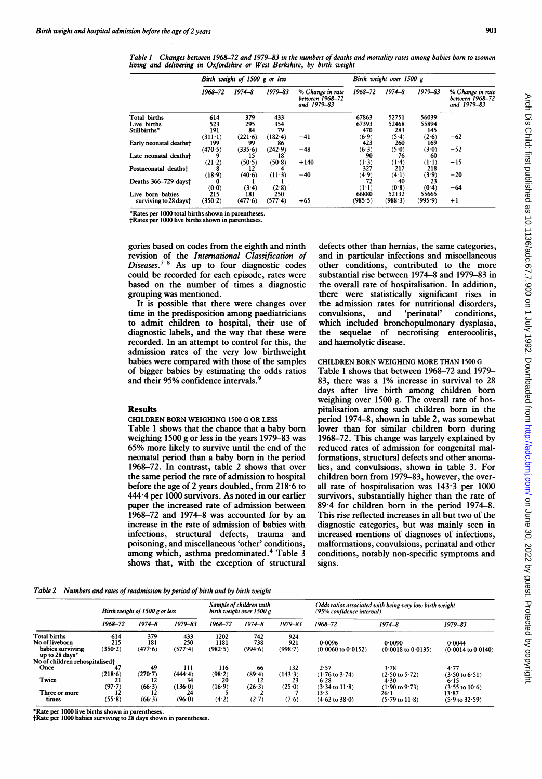Table <sup>I</sup> Changes between 1968-72 and 1979-83 in the numbers of deaths and mortality rates among babies born to women living and delivering in Oxfordshire or West Berkshire, by birth weight

|                        | Birth weight of 1500 g or less |            |             |                                                    | Birth weight over 1500 g |            |             |                                                    |
|------------------------|--------------------------------|------------|-------------|----------------------------------------------------|--------------------------|------------|-------------|----------------------------------------------------|
|                        | 1968-72                        | $1974 - 8$ | $1979 - 83$ | % Change in rate<br>between 1968-72<br>and 1979-83 | 1968-72                  | $1974 - 8$ | $1979 - 83$ | % Change in rate<br>between 1968-72<br>and 1979-83 |
| Total births           | 614                            | 379        | 433         |                                                    | 67863                    | 52751      | 56039       |                                                    |
| Live births            | 523                            | 295        | 354         |                                                    | 67393                    | 52468      | 55894       |                                                    |
| Stillbirths*           | 191                            | 84         | 79          |                                                    | 470                      | 283        | 145         |                                                    |
|                        | $(311-1)$                      | (221.6)    | (182.4)     | $-41$                                              | (6.9)                    | (5.4)      | (2.6)       | $-62$                                              |
| Early neonatal deaths† | 199                            | 99         | 86          |                                                    | 423                      | 260        | 169         |                                                    |
|                        | (470.5)                        | (335.6)    | (242.9)     | $-48$                                              | (6.3)                    | (5.0)      | (3.0)       | $-52$                                              |
| Late neonatal deaths†  |                                | 15         | 18          |                                                    | 90                       | 76         | 60          |                                                    |
|                        | (21.2)                         | (50.5)     | (50.8)      | $+140$                                             | (1.3)                    | (1.4)      | $(1-1)$     | $-15$                                              |
| Postneonatal deaths†   |                                | 12         |             |                                                    | 327                      | 217        | 218         |                                                    |
|                        | (18.9)                         | (40.6)     | $(11-3)$    | $-40$                                              | (4.9)                    | (4.1)      | (3.9)       | $-20$                                              |
| Deaths 366-729 days†   | 0                              |            |             |                                                    | 72                       | 40         | 23          |                                                    |
|                        | (0.0)                          | (3.4)      | (2.8)       |                                                    | $(1-1)$                  | (0.8)      | (0.4)       | $-64$                                              |
| Live born babies       | 215                            | 181        | 250         |                                                    | 66880                    | 52132      | 55665       |                                                    |
| surviving to 28 days†  | (350.2)                        | (477.6)    | (577.4)     | $+65$                                              | (985.5)                  | (988.3)    | (995.9)     | $+1$                                               |

Rates per 1000 total births shown in parentheses. tRates per 1000 live births shown in parentheses.

gories based on codes from the eighth and ninth revision of the *International Classification of*<br>Diseases.<sup>78</sup> As up to four diagnostic codes could be recorded for each episode, rates were based on the number of times a diagnostic grouping was mentioned.

It is possible that there were changes over time in the predisposition among paediatricians to admit children to hospital, their use of diagnostic labels, and the way that these were recorded. In an attempt to control for this, the admission rates of the very low birthweight babies were compared with those of the samples of bigger babies by estimating the odds ratios and their 95% confidence intervals.

# Results

CHILDREN BORN WEIGHING <sup>1500</sup> G OR LESS

Table <sup>1</sup> shows that the chance that a baby born weighing 1500 g or less in the years 1979-83 was 65% more likely to survive until the end of the neonatal period than a baby born in the period 1968-72. In contrast, table 2 shows that over the same period the rate of admission to hospital before the age of 2 years doubled, from 218-6 to 444-4 per 1000 survivors. As noted in our earlier paper the increased rate of admission between 1968-72 and 1974-8 was accounted for by an increase in the rate of admission of babies with infections, structural defects, trauma and poisoning, and miscellaneous 'other' conditions, among which, asthma predominated.<sup>4</sup> Table 3 shows that, with the exception of structural

defects other than hernias, the same categories, and in particular infections and miscellaneous other conditions, contributed to the more substantial rise between 1974-8 and 1979-83 in the overall rate of hospitalisation. In addition, there were statistically significant rises in the admission rates for nutritional disorders, convulsions, and 'perinatal' conditions, which included bronchopulmonary dysplasia, the sequelae of necrotising enterocolitis, and haemolytic disease.

# CHILDREN BORN WEIGHING MORE THAN <sup>1500</sup> G

Table <sup>1</sup> shows that between 1968-72 and 1979- 83, there was a 1% increase in survival to 28 days after live birth among children born weighing over 1500 g. The overall rate of hospitalisation among such children born in the period 1974-8, shown in table 2, was somewhat lower than for similar children born during 1968-72. This change was largely explained by reduced rates of admission for congenital malformations, structural defects and other anomalies, and convulsions, shown in table 3. For children born from 1979-83, however, the overall rate of hospitalisation was 143-3 per 1000 survivors, substantially higher than the rate of 89-4 for children born in the period 1974-8. This rise reflected increases in all but two of the diagnostic categories, but was mainly seen in increased mentions of diagnoses of infections, malformations, convulsions, perinatal and other conditions, notably non-specific symptoms and signs.

Table 2 Numbers and rates of readmission by period of birth and by birth weight

|                                                                             | Birth weight of 1500 g or less |                       |                       | Sample of children with<br>birth weight over 1500 g |                       |                       | Odds ratios associated with being very low birth weight<br>(95% confidence interval) |                                         |                                         |
|-----------------------------------------------------------------------------|--------------------------------|-----------------------|-----------------------|-----------------------------------------------------|-----------------------|-----------------------|--------------------------------------------------------------------------------------|-----------------------------------------|-----------------------------------------|
|                                                                             | 1968–72                        | $1974 - 8$            | $1979 - 83$           | 1968-72                                             | $1974 - 8$            | $1979 - 83$           | $1968 - 72$                                                                          | $1974 - 8$                              | $1979 - 83$                             |
| <b>Total births</b><br>No of liveborn<br>babies surviving<br>up to 28 days* | 614<br>215<br>(350.2)          | 379<br>181<br>(477.6) | 433<br>250<br>(577.4) | 1202<br>1181<br>(982.5)                             | 742<br>738<br>(994.6) | 924<br>921<br>(998.7) | 0.0096<br>$(0.0060 \text{ to } 0.0152)$                                              | 0.0090<br>$(0.0018 \text{ to } 0.0135)$ | 0.0044<br>$(0.0014 \text{ to } 0.0140)$ |
| No of children rehospitalised <sup>+</sup>                                  |                                |                       |                       |                                                     |                       |                       |                                                                                      |                                         |                                         |
| Once                                                                        | 47<br>(218.6)                  | 49<br>(270.7)         | 111<br>(444.4)        | 116<br>(98.2)                                       | 66<br>(89.4)          | 132<br>(143.3)        | 2.57<br>$(1.76 \text{ to } 3.74)$                                                    | 3.78<br>$(2.50 \text{ to } 5.72)$       | 4.77<br>$(3.50 \text{ to } 6.51)$       |
| Twice                                                                       | (97.7)                         | (66.3)                | 34<br>(136.0)         | 20<br>(16.9)                                        | 12<br>(26.3)          | 23<br>(25.0)          | 6.28<br>$(3.34 \text{ to } 11.8)$                                                    | 4.30<br>(1.90 to 9.73)                  | 6:15<br>$(3.55 \text{ to } 10.6)$       |
| Three or more<br>times                                                      | 12<br>(55.8)                   | 12<br>(66.3)          | 24<br>(96.0)          | (4.2)                                               | (2.7)                 | (7.6)                 | 13.3<br>$(4.62 \text{ to } 38.0)$                                                    | 26-l<br>$(5.79 \text{ to } 11.8)$       | 13.87<br>$(5.9 \text{ to } 32.59)$      |

\*Rate per 1000 live births shown in parentheses. tRate per 1000 babies surviving to 28 days shown in parentheses.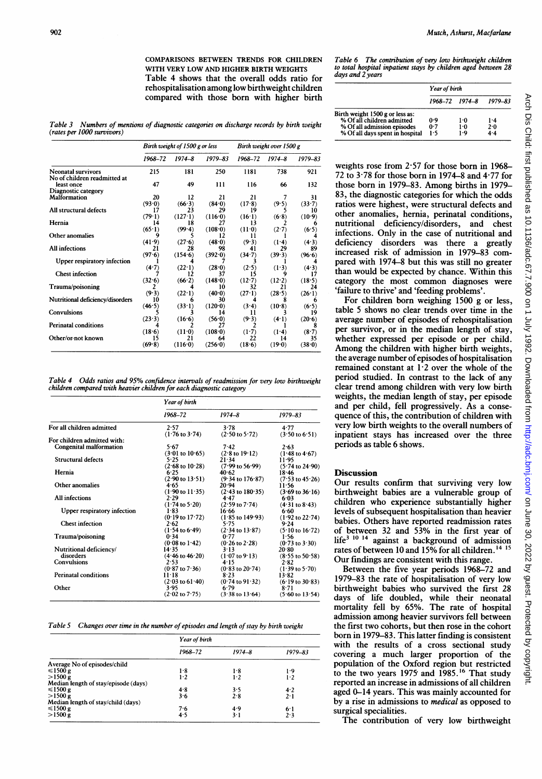COMPARISONS BETWEEN TRENDS FOR CHILDREN WITH VERY LOW AND HIGHER BIRTH WEIGHTS Table 4 shows that the overall odds ratio for rehospitalisation among low birthweight children compared with those born with higher birth

Table 6 The contribution of very low birthweight children to total hospital inpatient stays by children aged between 28 days and 2 years

|                                                                | <b>Year of birth</b>   |              |              |  |
|----------------------------------------------------------------|------------------------|--------------|--------------|--|
|                                                                | $1968 - 72$ $1974 - 8$ |              | 1979–83      |  |
| Birth weight 1500 g or less as:<br>% Of all children admitted  | 0.9                    | 1.0          | 1.4          |  |
| % Of all admission episodes<br>% Of all days spent in hospital | 0.7<br>1.5             | $1-0$<br>1.9 | 2.0<br>$4-4$ |  |

weights rose from 2-57 for those born in 1968- 72 to 3-78 for those born in 1974-8 and 4-77 for those born in 1979-83. Among births in 1979- 83, the diagnostic categories for which the odds ratios were highest, were structural defects and other anomalies, hernia, perinatal conditions, nutritional deficiency/disorders, and chest infections. Only in the case of nutritional and deficiency disorders was there a greatly increased risk of admission in 1979-83 compared with 1974-8 but this was still no greater than would be expected by chance. Within this category the most common diagnoses were 'failure to thrive' and 'feeding problems'.

For children born weighing 1500 g or less, table 5 shows no clear trends over time in the average number of episodes of rehospitalisation per survivor, or in the median length of stay, whether expressed per episode or per child. Among the children with higher birth weights, the average number of episodes of hospitalisation remained constant at  $1.2$  over the whole of the period studied. In contrast to the lack of any clear trend among children with very low birth weights, the median length of stay, per episode and per child, fell progressively. As a consequence of this, the contribution of children with very low birth weights to the overall numpbers of inpatient stays has increased over the three

Our results confirm that surviving very low birthweight babies are a vulnerable group of children who experience substantially higher levels of subsequent hospitalisation than heavier babies. Others have reported readmission rates of between 32 and 53% in the first year of life<sup>3 10 14</sup> against a background of admission rates of between 10 and 15% for all children. <sup>14</sup> <sup>15</sup> Our findings are consistent with this range. Between the five year periods 1968-72 and 1979-83 the rate of hospitalisation of very low birthweight babies who survived the first 28 days of life doubled, while their neonatal mortality fell by 65%. The rate of hospital admission among heavier survivors fell between the first two cohorts, but then rose in the cohort born in 1979-83. This latter finding is consistent with the results of a cross sectional study covering a much larger proportion of the population of the Oxford region but restricted to the two years 1975 and 1985.<sup>16</sup> That study reported an increase in admissions of all children aged 0-14 years. This was mainly accounted for

periods as table 6 shows.

**Discussion** 

Table 3 Numbers of mentions of diagnostic categories on discharge records by birth weight (rates per 1000 survivors)

|                                            | Birth weight of 1500 g or less |                | Birth weight over 1500 g |          |            |             |
|--------------------------------------------|--------------------------------|----------------|--------------------------|----------|------------|-------------|
|                                            | 1968-72                        | $1974 - 8$     | $1979 - 83$              | 1968-72  | $1974 - 8$ | $1979 - 83$ |
| <b>Neonatal survivors</b>                  | 215                            | 181            | 250                      | 1181     | 738        | 921         |
| No of children readmitted at<br>least once | 47                             | 49             | 111                      | 116      | 66         | 132         |
| Diagnostic category                        |                                |                |                          |          |            |             |
| <b>Malformation</b>                        | 20                             | 12             | 21                       | 21       |            | 31          |
|                                            | (93.0)                         | (66.3)         | (84.0)                   | (17.8)   | (9.5)      | (33.7)      |
| All structural defects                     | 17                             | 23             | 29                       | 19       |            | 10          |
|                                            | (79.1)                         | (127.1)        | (116.0)                  | (16.1)   | (6.8)      | (10.9)      |
| Hernia                                     | 14                             | 18             | 27                       | 13       |            |             |
|                                            | (65.1)                         | (99.4)         | (108.0)                  | (11:0)   | (2.7)      | (6.5)       |
| Other anomalies                            | 9                              |                | 12                       | 11       |            |             |
|                                            | (41.9)                         | (27.6)         | (48.0)                   | (9.3)    | (1.4)      | (4.3)       |
| All infections                             | 21                             | 28             | 98                       | 41       | 29         | 89          |
|                                            | (97.6)                         | (154.6)        | (392.0)                  | (34.7)   | (39.3)     | (96.6)      |
| Upper respiratory infection                |                                |                |                          |          |            |             |
|                                            | (4.7)                          | (22.1)         | (28.0)                   | (2.5)    | (1.3)      | (4.3)       |
| <b>Chest infection</b>                     |                                | 12             | 37                       | 15       |            |             |
|                                            | (32.6)                         | (66.2)         | (148.0)                  | $(12-7)$ | (12.2)     | (18.5)      |
| Trauma/poisoning                           |                                |                | 10                       | 32       | 21         | 24          |
|                                            | (9.3)                          | (22.1)         | (40.0)                   | (27.1)   | (28.5)     | (26.1)      |
| Nutritional deficiency/disorders           | 10                             | n              | 30                       |          |            |             |
|                                            | (46.5)                         | $(33 \cdot 1)$ | (120.0)                  | (3.4)    | (10.8)     | (6.5)       |
| Convulsions                                |                                |                | 14                       | 11       |            | 19          |
|                                            | (23.3)                         | (16.6)         | (56.0)                   | (9.3)    | (4.1)      | (20.6)      |
| <b>Perinatal conditions</b>                |                                |                | 27                       |          |            |             |
|                                            | (18.6)                         | (11.0)         | (108.0)                  | $(1-7)$  | (1.4)      | (8.7)       |
| Other/or-not known                         | 15                             | 21             | 64                       | 22       | 14         | 35          |
|                                            | (69.8)                         | (116.0)        | (256.0)                  | (18.6)   | (19.0)     | (38.0)      |
|                                            |                                |                |                          |          |            |             |

Table 4 Odds ratios and 95% confidence intervals of readmission for very low birthweight children compared with heavier children for each diagnostic category

|                             | Year of birth              |                             |                            |  |
|-----------------------------|----------------------------|-----------------------------|----------------------------|--|
|                             | 1968-72                    | $1974 - 8$                  | 1979–83                    |  |
| For all children admitted   | 2.57                       | 3.78                        | 4.77                       |  |
|                             | $(1.76 \text{ to } 3.74)$  | $(2.50 \text{ to } 5.72)$   | $(3.50 \text{ to } 6.51)$  |  |
| For children admitted with: |                            |                             |                            |  |
| Congenital malformation     | 5.67                       | 7.42                        | 2.63                       |  |
|                             | $(3.01 \text{ to } 10.65)$ | $(2.8 \text{ to } 19.12)$   | $(1.48 \text{ to } 4.67)$  |  |
| <b>Structural defects</b>   | 5.25                       | 21.34                       | 11.95                      |  |
|                             | $(2.68 \text{ to } 10.28)$ | $(7.99 \text{ to } 56.99)$  | $(5.74 \text{ to } 24.90)$ |  |
| Hernia                      | 6.25                       | 40.62                       | 18.46                      |  |
|                             | $(2.90 \text{ to } 13.51)$ | $(9.34 \text{ to } 176.87)$ | $(7.53 \text{ to } 45.26)$ |  |
| Other anomalies             | 4.65                       | 20.94                       | 11:56                      |  |
|                             | $(1.90 \text{ to } 11.35)$ | $(2.43 \text{ to } 180.35)$ | $(3.69 \text{ to } 36.16)$ |  |
| All infections              | 2.29                       | 4.47                        | 6.03                       |  |
|                             | $(1.74 \text{ to } 5.20)$  | $(2.59 \text{ to } 7.74)$   | (4.31 to 8.43)             |  |
| Upper respiratory infection | 1.83                       | 16.66                       | 6.60                       |  |
|                             | $(0.19 \text{ to } 17.72)$ | $(1.85 \text{ to } 149.93)$ | $(1.92 \text{ to } 22.74)$ |  |
| <b>Chest infection</b>      | 2.62                       | 5.75                        | 9.24                       |  |
|                             | $(1.54 \text{ to } 6.49)$  | $(2.34 \text{ to } 13.87)$  | $(5.10 \text{ to } 16.72)$ |  |
| Trauma/poisoning            | 0.34                       | 0.77                        | 1.56                       |  |
|                             | $(0.08 \text{ to } 1.42)$  | $(0.26 \text{ to } 2.28)$   | $(0.73 \text{ to } 3.30)$  |  |
| Nutritional deficiency/     | 14.35                      | 3.13                        | 20.80                      |  |
| disorders                   | $(4.46 \text{ to } 46.20)$ | $(1.07 \text{ to } 9.13)$   | $(8.55 \text{ to } 50.58)$ |  |
| Convulsions                 | 2.53                       | 4.15                        | 2.82                       |  |
|                             | $(0.87 \text{ to } 7.36)$  | $(0.83 \text{ to } 20.74)$  | $(1.39 \text{ to } 5.70)$  |  |
| <b>Perinatal conditions</b> | $11 - 18$                  | 8.23                        | 13.82                      |  |
|                             | $(2.03 \text{ to } 61.40)$ | $(0.74 \text{ to } 91.32)$  | $(6.19 \text{ to } 30.83)$ |  |
| Other                       | 3.95                       | 6.79                        | 8.71                       |  |
|                             | $(2.02 \text{ to } 7.75)$  | $(3.38 \text{ to } 13.64)$  | $(5.60 \text{ to } 13.54)$ |  |
|                             |                            |                             |                            |  |

Table 5 Changes over time in the number of episodes and length of stay by birth weight

|                                      | Year of birth |            |             |  |
|--------------------------------------|---------------|------------|-------------|--|
|                                      | 1968-72       | $1974 - 8$ | $1979 - 83$ |  |
| Average No of episodes/child         |               |            |             |  |
| $\leq 1500 g$                        | 1.8           | 1.8        | 1.9         |  |
| >1500 g                              | 1.2           | 1.2        | 1.2         |  |
| Median length of stay/episode (days) |               |            |             |  |
| $\leq 1500 g$                        | 4.8           | 3.5        | 4.2         |  |
| >1500 g                              | 3.6           | 2.8        | 2.1         |  |
| Median length of stay/child (days)   |               |            |             |  |
| $\leq 1500 g$                        | 7.6           | 4.9        | 6·1         |  |
| $>1500 \,\mathrm{g}$                 | 4.5           | $3-1$      | 2.3         |  |

by a rise in admissions to *medical* as opposed to surgical specialities. The contribution of very low birthweight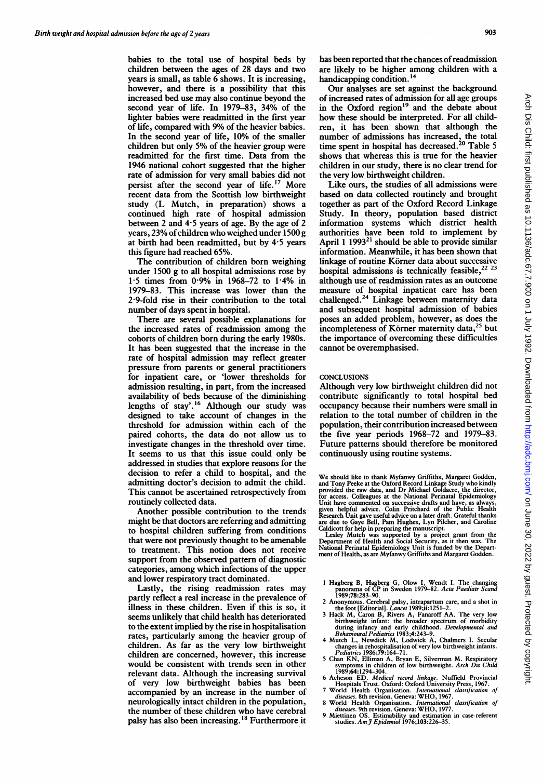babies to the total use of hospital beds by children between the ages of 28 days and two years is small, as table 6 shows. It is increasing, however, and there is a possibility that this increased bed use may also continue beyond the second year of life. In 1979-83, 34% of the lighter babies were readmitted in the first year of life, compared with 9% of the heavier babies. In the second year of life, 10% of the smaller children but only 5% of the heavier group were readmitted for the first time. Data from the 1946 national cohort suggested that the higher rate of admission for very small babies did not persist after the second year of life.<sup>17</sup> More recent data from the Scottish low birthweight study (L Mutch, in preparation) shows a continued high rate of hospital admission between 2 and  $4.5$  years of age. By the age of 2 years,  $23\%$  of children who weighed under 1500 g at birth had been readmitted, but by 4'5 years this figure had reached 65%.

The contribution of children born weighing under 1500 g to all hospital admissions rose by  $1.5$  times from 0.9% in 1968-72 to  $1.4\%$  in 1979-83. This increase was lower than the 2-9-fold rise in their contribution to the total number of days spent in hospital.

There are several possible explanations for the increased rates of readmission among the cohorts of children born during the early 1980s. It has been suggested that the increase in the rate of hospital admission may reflect greater pressure from parents or general practitioners for inpatient care, or 'lower thresholds for admission resulting, in part, from the increased availability of beds because of the diminishing lengths of stay'.<sup>16</sup> Although our study was designed to take account of changes in the threshold for admission within each of the paired cohorts, the data do not allow us to investigate changes in the threshold over time. It seems to us that this issue could only be addressed in studies that explore reasons for the decision to refer a child to hospital, and the admitting doctor's decision to admit the child. This cannot be ascertained retrospectively from routinely collected data.

Another possible contribution to the trends might be that doctors are referring and admitting to hospital children suffering from conditions that were not previously thought to be amenable to treatment. This notion does not receive support from the observed pattern of diagnostic categories, among which infections of the upper and lower respiratory tract dominated.

Lastly, the rising readmission rates may partly reflect a real increase in the prevalence of illness in these children. Even if this is so, it seems unlikely that child health has deteriorated to the extent implied by the rise in hospitalisation rates, particularly among the heavier group of children. As far as the very low birthweight children are concerned, however, this increase would be consistent with trends seen in other relevant data. Although the increasing survival of very low birthweight babies has been accompanied by an increase in the number of neurologically intact children in the population, the number of these children who have cerebral palsy has also been increasing.<sup>18</sup> Furthermore it

Our analyses are set against the background of increased rates of admission for all age groups in the Oxford region<sup>19</sup> and the debate about how these should be interpreted. For all children, it has been shown that although the number of admissions has increased, the total time spent in hospital has decreased.<sup>20</sup> Table 5 shows that whereas this is true for the heavier children in our study, there is no clear trend for the very low birthweight children.

Like ours, the studies of all admissions were based on data collected routinely and brought together as part of the Oxford Record Linkage Study. In theory, population based district information systems which district health authorities have been told to implement by April 1 1993 $^{21}$  should be able to provide similar information. Meanwhile, it has been shown that linkage of routine Körner data about successive hospital admissions is technically feasible, $22\overline{23}$ although use of readmission rates as an outcome measure of hospital inpatient care has been challenged.24 Linkage between maternity data and subsequent hospital admission of babies poses an added problem, however, as does the incompleteness of Körner maternity data,<sup>25</sup> but the importance of overcoming these difficulties cannot be overemphasised.

### **CONCLUSIONS**

Although very low birthweight children did not contribute significantly to total hospital bed occupancy because their numbers were small in relation to the total number of children in the population, their contribution increased between the five year periods 1968-72 and 1979-83. Future patterns should therefore be monitored continuously using routine systems.

We should like to thank Myfanwy Griffiths, Margaret Godden, and Tony Peeke at the Oxford Record Linkage Study who kindly provided the raw data, and Dr Michael Goldacre, the director, for access. Colleagues at the National Perinatal Epidemiology Unit have commented on successive draits and have, as always,<br>given helpful advice. Colin Prichard of the Public Health<br>Research Unit gave useful advice on a later draft. Grateful thanks<br>are due to Gaye Bell, Pam Hughes, L

Caldicott for help in preparing the manuscript.<br>
Lesley Mutch was supported by a project grant from the<br>
Department of Health and Social Security, as it then was. The<br>
National Perinatal Epidemiology Unit is funded by the

- 1 Hagberg B, Hagberg G, Olow I, Wendt I. The changing<br>panorama of CP in Sweden 1979–82. Acta Paediatr Scand<br>1989;78:283–90.
- 
- 2 Anonymous. Cerebral palsy, intrapartum care, and a shot in<br>the foot [Editorial]. Lancet 1989;ii:1251-2.<br>3 Hack M, Caron B, Rivers A, Fanaroff AA. The very low<br>birthweight infant: the broader spectrum of morbidity<br>during
- 
- changes in rehospitalisation of very low birthweight infants.<br>
Pediatrics 1986;79:164-71.<br>
5 Chan KN, Elliman A, Bryan E, Silverman M. Respiratory<br>
symptoms in children of low birthweight. *Arch Dis Child*<br>
1989;64:1294–30
- 6 Acheson ED. Medical record linkage. Nuffield Provincial Hospitals Trust. Oxford: Oxford University Press, 1967.
- 7 World Health Organisation. International classification of diseases. 8th revision. Geneva: WHO, 1967.
- 8 World Health Organisation. *International classification of*<br>diseases. 9th revision. Geneva: WHO, 1977.<br>9 Miettinen OS. Estimability and estimation in case-referent<br>studies. Am J Epidemiol 1976;103:226–35.
-